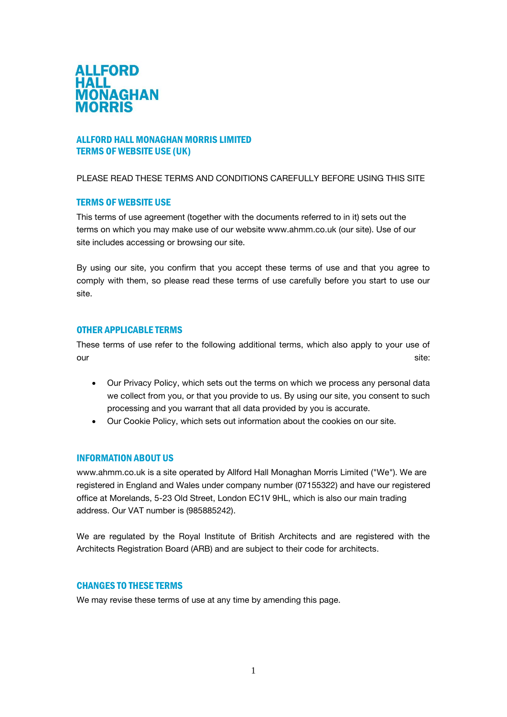

# ALLFORD HALL MONAGHAN MORRIS LIMITED TERMS OF WEBSITE USE (UK)

#### PLEASE READ THESE TERMS AND CONDITIONS CAREFULLY BEFORE USING THIS SITE

## TERMS OF WEBSITE USE

This terms of use agreement (together with the documents referred to in it) sets out the terms on which you may make use of our website www.ahmm.co.uk (our site). Use of our site includes accessing or browsing our site.

By using our site, you confirm that you accept these terms of use and that you agree to comply with them, so please read these terms of use carefully before you start to use our site.

#### OTHER APPLICABLE TERMS

These terms of use refer to the following additional terms, which also apply to your use of our site: the site of the site of the site of the site of the site of the site of the site of the site of the site of the site of the site of the site of the site of the site of the site of the site of the site of the site

- Our Privacy Policy, which sets out the terms on which we process any personal data we collect from you, or that you provide to us. By using our site, you consent to such processing and you warrant that all data provided by you is accurate.
- Our Cookie Policy, which sets out information about the cookies on our site.

### INFORMATION ABOUT US

www.ahmm.co.uk is a site operated by Allford Hall Monaghan Morris Limited ("We"). We are registered in England and Wales under company number (07155322) and have our registered office at Morelands, 5-23 Old Street, London EC1V 9HL, which is also our main trading address. Our VAT number is (985885242).

We are regulated by the Royal Institute of British Architects and are registered with the Architects Registration Board (ARB) and are subject to their code for architects.

#### CHANGES TO THESE TERMS

We may revise these terms of use at any time by amending this page.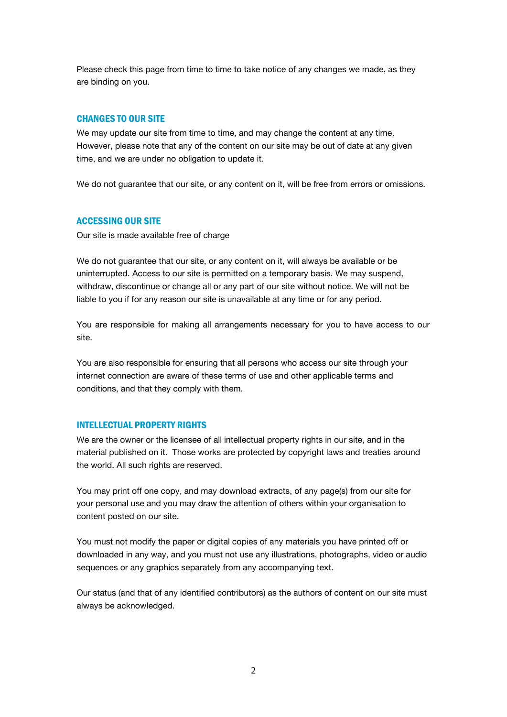Please check this page from time to time to take notice of any changes we made, as they are binding on you.

## CHANGES TO OUR SITE

We may update our site from time to time, and may change the content at any time. However, please note that any of the content on our site may be out of date at any given time, and we are under no obligation to update it.

We do not guarantee that our site, or any content on it, will be free from errors or omissions.

## ACCESSING OUR SITE

Our site is made available free of charge

We do not quarantee that our site, or any content on it, will always be available or be uninterrupted. Access to our site is permitted on a temporary basis. We may suspend, withdraw, discontinue or change all or any part of our site without notice. We will not be liable to you if for any reason our site is unavailable at any time or for any period.

You are responsible for making all arrangements necessary for you to have access to our site.

You are also responsible for ensuring that all persons who access our site through your internet connection are aware of these terms of use and other applicable terms and conditions, and that they comply with them.

### INTELLECTUAL PROPERTY RIGHTS

We are the owner or the licensee of all intellectual property rights in our site, and in the material published on it. Those works are protected by copyright laws and treaties around the world. All such rights are reserved.

You may print off one copy, and may download extracts, of any page(s) from our site for your personal use and you may draw the attention of others within your organisation to content posted on our site.

You must not modify the paper or digital copies of any materials you have printed off or downloaded in any way, and you must not use any illustrations, photographs, video or audio sequences or any graphics separately from any accompanying text.

Our status (and that of any identified contributors) as the authors of content on our site must always be acknowledged.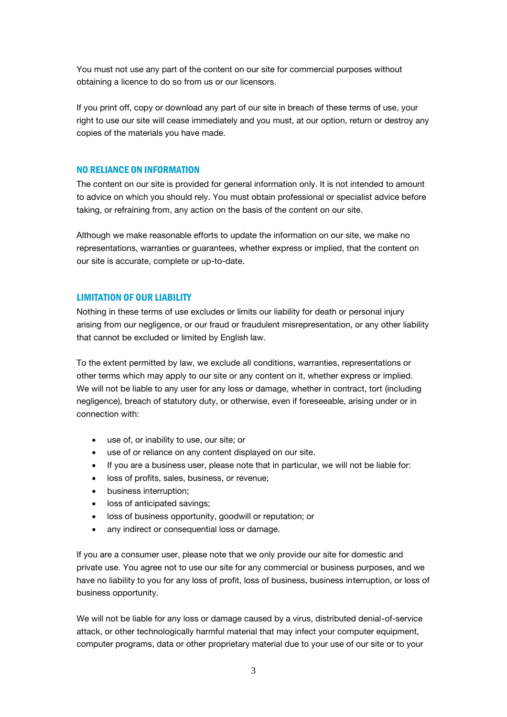You must not use any part of the content on our site for commercial purposes without obtaining a licence to do so from us or our licensors.

If you print off, copy or download any part of our site in breach of these terms of use, your right to use our site will cease immediately and you must, at our option, return or destroy any copies of the materials you have made.

#### NO RELIANCE ON INFORMATION

The content on our site is provided for general information only. It is not intended to amount to advice on which you should rely. You must obtain professional or specialist advice before taking, or refraining from, any action on the basis of the content on our site.

Although we make reasonable efforts to update the information on our site, we make no representations, warranties or guarantees, whether express or implied, that the content on our site is accurate, complete or up-to-date.

### LIMITATION OF OUR LIABILITY

Nothing in these terms of use excludes or limits our liability for death or personal injury arising from our negligence, or our fraud or fraudulent misrepresentation, or any other liability that cannot be excluded or limited by English law.

To the extent permitted by law, we exclude all conditions, warranties, representations or other terms which may apply to our site or any content on it, whether express or implied. We will not be liable to any user for any loss or damage, whether in contract, tort (including negligence), breach of statutory duty, or otherwise, even if foreseeable, arising under or in connection with:

- use of, or inability to use, our site; or
- use of or reliance on any content displayed on our site.
- If you are a business user, please note that in particular, we will not be liable for:
- loss of profits, sales, business, or revenue;
- **•** business interruption;
- loss of anticipated savings;
- loss of business opportunity, goodwill or reputation; or
- any indirect or consequential loss or damage.

If you are a consumer user, please note that we only provide our site for domestic and private use. You agree not to use our site for any commercial or business purposes, and we have no liability to you for any loss of profit, loss of business, business interruption, or loss of business opportunity.

We will not be liable for any loss or damage caused by a virus, distributed denial-of-service attack, or other technologically harmful material that may infect your computer equipment, computer programs, data or other proprietary material due to your use of our site or to your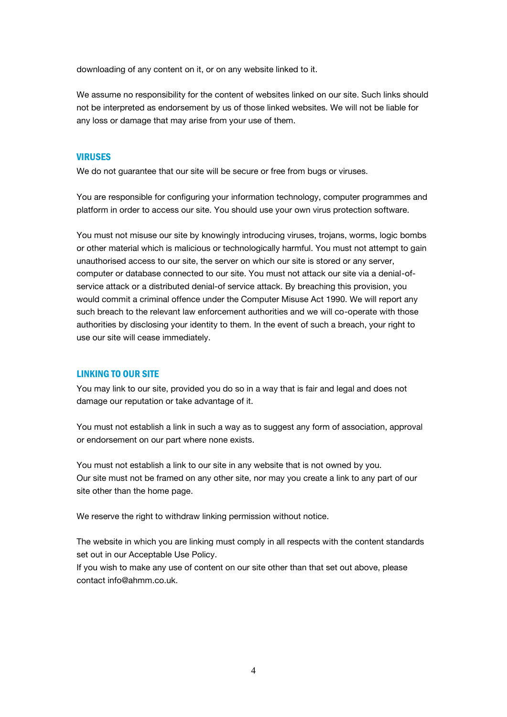downloading of any content on it, or on any website linked to it.

We assume no responsibility for the content of websites linked on our site. Such links should not be interpreted as endorsement by us of those linked websites. We will not be liable for any loss or damage that may arise from your use of them.

## VIRUSES

We do not guarantee that our site will be secure or free from bugs or viruses.

You are responsible for configuring your information technology, computer programmes and platform in order to access our site. You should use your own virus protection software.

You must not misuse our site by knowingly introducing viruses, trojans, worms, logic bombs or other material which is malicious or technologically harmful. You must not attempt to gain unauthorised access to our site, the server on which our site is stored or any server, computer or database connected to our site. You must not attack our site via a denial-ofservice attack or a distributed denial-of service attack. By breaching this provision, you would commit a criminal offence under the Computer Misuse Act 1990. We will report any such breach to the relevant law enforcement authorities and we will co-operate with those authorities by disclosing your identity to them. In the event of such a breach, your right to use our site will cease immediately.

#### LINKING TO OUR SITE

You may link to our site, provided you do so in a way that is fair and legal and does not damage our reputation or take advantage of it.

You must not establish a link in such a way as to suggest any form of association, approval or endorsement on our part where none exists.

You must not establish a link to our site in any website that is not owned by you. Our site must not be framed on any other site, nor may you create a link to any part of our site other than the home page.

We reserve the right to withdraw linking permission without notice.

The website in which you are linking must comply in all respects with the content standards set out in our Acceptable Use Policy.

If you wish to make any use of content on our site other than that set out above, please contact info@ahmm.co.uk.